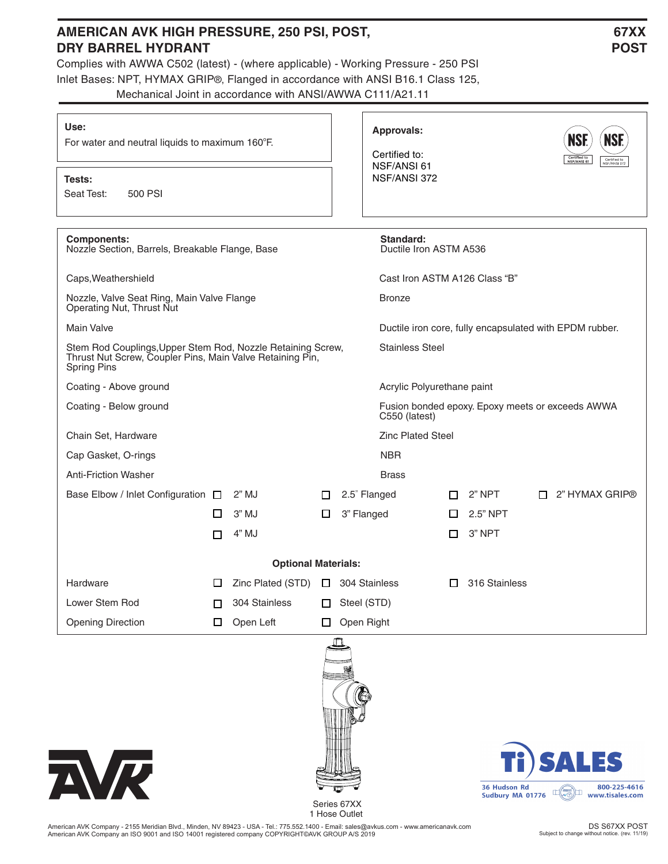## AMERICAN AVK HIGH PRESSURE, 250 PSI, POST, **1988 1999 12: 1999 12: 1999 12: 1999 12: 1999 12: 1999 12: 1999 12: 1999 12: 1999 12: 1999 12: 1999 12: 1999 12: 1999 12: 1999 12: 1999 12: 1999 12: 1999 12: 1999 12: 1999 12: 19**

Complies with AWWA C502 (latest) - (where applicable) - Working Pressure - 250 PSI Inlet Bases: NPT, HYMAX GRIP®, Flanged in accordance with ANSI B16.1 Class 125, Mechanical Joint in accordance with ANSI/AWWA C111/A21.11

## **DRY BARREL HYDRANT** POST

| Use:<br>For water and neutral liquids to maximum 160°F.                                                                                        |                        | <b>Approvals:</b><br>Certified to:<br>NSF/ANSI 61 |   |                                     |                                                                   | <b>NS</b><br><b>NSF</b><br>Certified to<br>NSF/ANSI 61<br>Certified to<br>NSF/ANSI 372 |  |                  |  |  |
|------------------------------------------------------------------------------------------------------------------------------------------------|------------------------|---------------------------------------------------|---|-------------------------------------|-------------------------------------------------------------------|----------------------------------------------------------------------------------------|--|------------------|--|--|
| Tests:<br>Seat Test:<br>500 PSI                                                                                                                | NSF/ANSI 372           |                                                   |   |                                     |                                                                   |                                                                                        |  |                  |  |  |
| <b>Components:</b><br>Nozzle Section, Barrels, Breakable Flange, Base                                                                          |                        |                                                   |   | Standard:<br>Ductile Iron ASTM A536 |                                                                   |                                                                                        |  |                  |  |  |
| Caps, Weathershield                                                                                                                            |                        |                                                   |   | Cast Iron ASTM A126 Class "B"       |                                                                   |                                                                                        |  |                  |  |  |
| Nozzle, Valve Seat Ring, Main Valve Flange<br>Operating Nut, Thrust Nut                                                                        |                        |                                                   |   | <b>Bronze</b>                       |                                                                   |                                                                                        |  |                  |  |  |
| <b>Main Valve</b>                                                                                                                              |                        |                                                   |   |                                     | Ductile iron core, fully encapsulated with EPDM rubber.           |                                                                                        |  |                  |  |  |
| Stem Rod Couplings, Upper Stem Rod, Nozzle Retaining Screw,<br>Thrust Nut Screw, Coupler Pins, Main Valve Retaining Pin,<br><b>Spring Pins</b> | <b>Stainless Steel</b> |                                                   |   |                                     |                                                                   |                                                                                        |  |                  |  |  |
| Coating - Above ground                                                                                                                         |                        | Acrylic Polyurethane paint                        |   |                                     |                                                                   |                                                                                        |  |                  |  |  |
| Coating - Below ground                                                                                                                         |                        |                                                   |   |                                     | Fusion bonded epoxy. Epoxy meets or exceeds AWWA<br>C550 (latest) |                                                                                        |  |                  |  |  |
| Chain Set, Hardware                                                                                                                            |                        |                                                   |   |                                     | <b>Zinc Plated Steel</b>                                          |                                                                                        |  |                  |  |  |
| Cap Gasket, O-rings                                                                                                                            |                        |                                                   |   | <b>NBR</b>                          |                                                                   |                                                                                        |  |                  |  |  |
| <b>Anti-Friction Washer</b>                                                                                                                    |                        |                                                   |   | <b>Brass</b>                        |                                                                   |                                                                                        |  |                  |  |  |
| Base Elbow / Inlet Configuration □                                                                                                             |                        | $2"$ MJ                                           | П | 2.5" Flanged                        | П                                                                 | 2" NPT                                                                                 |  | □ 2" HYMAX GRIP® |  |  |
|                                                                                                                                                | $\Box$                 | $3"$ MJ                                           | ⊔ | 3" Flanged                          | ப                                                                 | 2.5" NPT                                                                               |  |                  |  |  |
|                                                                                                                                                | п                      | 4" MJ                                             |   |                                     | □                                                                 | 3" NPT                                                                                 |  |                  |  |  |
|                                                                                                                                                |                        | <b>Optional Materials:</b>                        |   |                                     |                                                                   |                                                                                        |  |                  |  |  |
| Hardware                                                                                                                                       | ப                      | Zinc Plated (STD) $\Box$ 304 Stainless            |   |                                     | П                                                                 | 316 Stainless                                                                          |  |                  |  |  |
| Lower Stem Rod                                                                                                                                 | П                      | 304 Stainless                                     |   | Steel (STD)                         |                                                                   |                                                                                        |  |                  |  |  |
| <b>Opening Direction</b>                                                                                                                       | □                      | Open Left                                         | □ | Open Right                          |                                                                   |                                                                                        |  |                  |  |  |
| $\boldsymbol{\pi}$                                                                                                                             |                        |                                                   |   |                                     |                                                                   |                                                                                        |  | Ti) SALES        |  |  |



Series 67XX 1 Hose Outlet

का

American AVK Company - 2155 Meridian Blvd., Minden, NV 89423 - USA - Tel.: 775.552.1400 - Email: sales@avkus.com - www.americanavk.com American AVK Company an ISO 9001 and ISO 14001 registered company COPYRIGHT©AVK GROUP A/S 2019

36 Hudson Rd

36 Hudson Rd<br>Sudbury MA 01776

800-225-4616

www.tisales.com